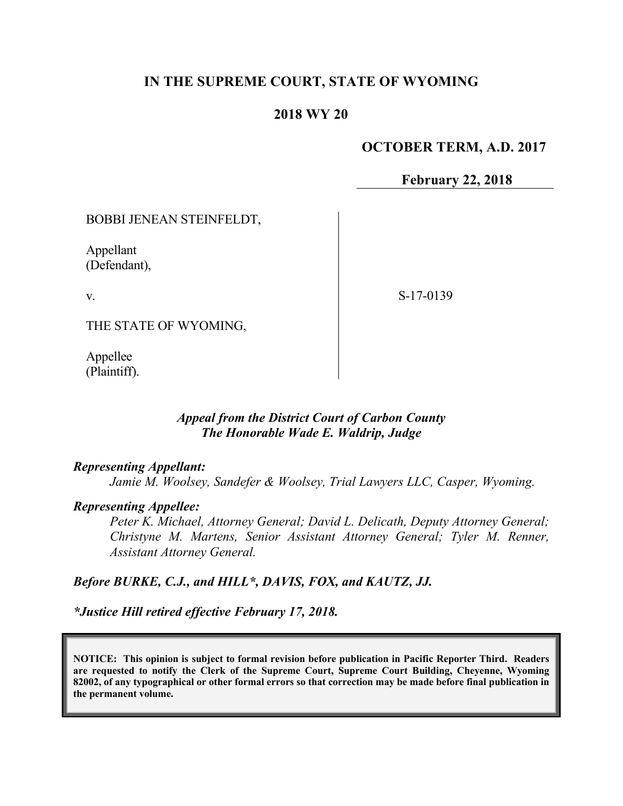# **IN THE SUPREME COURT, STATE OF WYOMING**

## **2018 WY 20**

## **OCTOBER TERM, A.D. 2017**

**February 22, 2018**

BOBBI JENEAN STEINFELDT,

Appellant (Defendant),

v.

S-17-0139

THE STATE OF WYOMING,

Appellee (Plaintiff).

### *Appeal from the District Court of Carbon County The Honorable Wade E. Waldrip, Judge*

### *Representing Appellant:*

*Jamie M. Woolsey, Sandefer & Woolsey, Trial Lawyers LLC, Casper, Wyoming.*

#### *Representing Appellee:*

*Peter K. Michael, Attorney General; David L. Delicath, Deputy Attorney General; Christyne M. Martens, Senior Assistant Attorney General; Tyler M. Renner, Assistant Attorney General.*

### *Before BURKE, C.J., and HILL\*, DAVIS, FOX, and KAUTZ, JJ.*

*\*Justice Hill retired effective February 17, 2018.*

**NOTICE: This opinion is subject to formal revision before publication in Pacific Reporter Third. Readers are requested to notify the Clerk of the Supreme Court, Supreme Court Building, Cheyenne, Wyoming 82002, of any typographical or other formal errors so that correction may be made before final publication in the permanent volume.**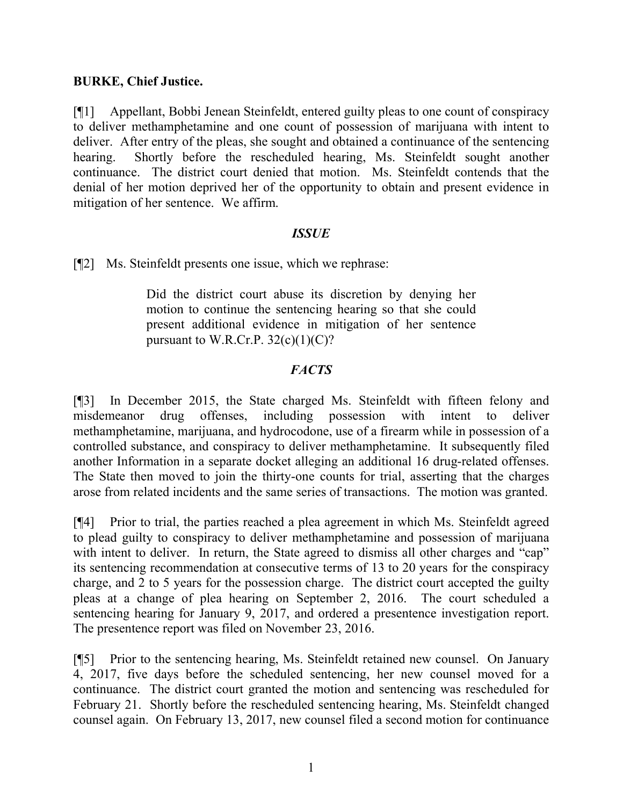## **BURKE, Chief Justice.**

[¶1] Appellant, Bobbi Jenean Steinfeldt, entered guilty pleas to one count of conspiracy to deliver methamphetamine and one count of possession of marijuana with intent to deliver. After entry of the pleas, she sought and obtained a continuance of the sentencing hearing. Shortly before the rescheduled hearing, Ms. Steinfeldt sought another continuance. The district court denied that motion. Ms. Steinfeldt contends that the denial of her motion deprived her of the opportunity to obtain and present evidence in mitigation of her sentence. We affirm.

### *ISSUE*

[¶2] Ms. Steinfeldt presents one issue, which we rephrase:

Did the district court abuse its discretion by denying her motion to continue the sentencing hearing so that she could present additional evidence in mitigation of her sentence pursuant to W.R.Cr.P.  $32(c)(1)(C)$ ?

# *FACTS*

[¶3] In December 2015, the State charged Ms. Steinfeldt with fifteen felony and misdemeanor drug offenses, including possession with intent to deliver methamphetamine, marijuana, and hydrocodone, use of a firearm while in possession of a controlled substance, and conspiracy to deliver methamphetamine. It subsequently filed another Information in a separate docket alleging an additional 16 drug-related offenses. The State then moved to join the thirty-one counts for trial, asserting that the charges arose from related incidents and the same series of transactions. The motion was granted.

[¶4] Prior to trial, the parties reached a plea agreement in which Ms. Steinfeldt agreed to plead guilty to conspiracy to deliver methamphetamine and possession of marijuana with intent to deliver. In return, the State agreed to dismiss all other charges and "cap" its sentencing recommendation at consecutive terms of 13 to 20 years for the conspiracy charge, and 2 to 5 years for the possession charge. The district court accepted the guilty pleas at a change of plea hearing on September 2, 2016. The court scheduled a sentencing hearing for January 9, 2017, and ordered a presentence investigation report. The presentence report was filed on November 23, 2016.

[¶5] Prior to the sentencing hearing, Ms. Steinfeldt retained new counsel. On January 4, 2017, five days before the scheduled sentencing, her new counsel moved for a continuance. The district court granted the motion and sentencing was rescheduled for February 21. Shortly before the rescheduled sentencing hearing, Ms. Steinfeldt changed counsel again. On February 13, 2017, new counsel filed a second motion for continuance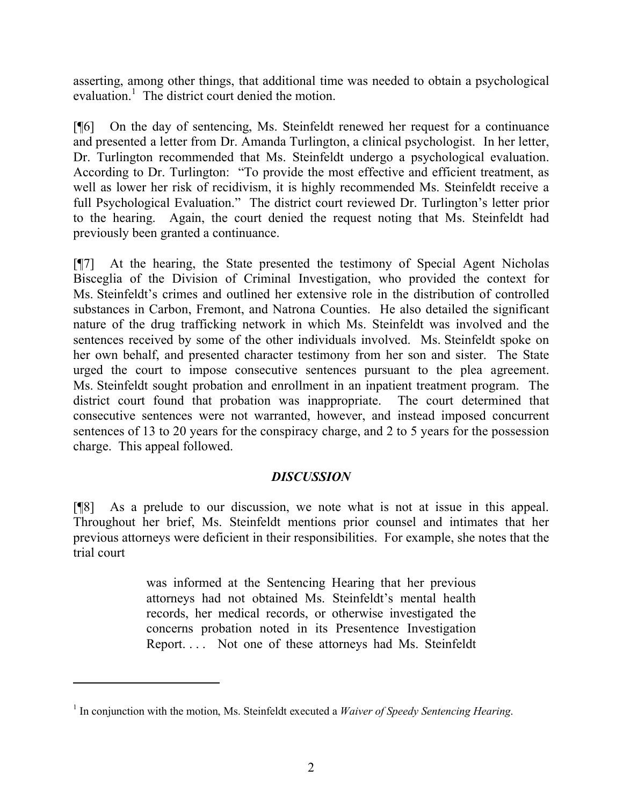asserting, among other things, that additional time was needed to obtain a psychological evaluation.<sup>1</sup> The district court denied the motion.

[¶6] On the day of sentencing, Ms. Steinfeldt renewed her request for a continuance and presented a letter from Dr. Amanda Turlington, a clinical psychologist. In her letter, Dr. Turlington recommended that Ms. Steinfeldt undergo a psychological evaluation. According to Dr. Turlington: "To provide the most effective and efficient treatment, as well as lower her risk of recidivism, it is highly recommended Ms. Steinfeldt receive a full Psychological Evaluation." The district court reviewed Dr. Turlington's letter prior to the hearing. Again, the court denied the request noting that Ms. Steinfeldt had previously been granted a continuance.

[¶7] At the hearing, the State presented the testimony of Special Agent Nicholas Bisceglia of the Division of Criminal Investigation, who provided the context for Ms. Steinfeldt's crimes and outlined her extensive role in the distribution of controlled substances in Carbon, Fremont, and Natrona Counties. He also detailed the significant nature of the drug trafficking network in which Ms. Steinfeldt was involved and the sentences received by some of the other individuals involved. Ms. Steinfeldt spoke on her own behalf, and presented character testimony from her son and sister. The State urged the court to impose consecutive sentences pursuant to the plea agreement. Ms. Steinfeldt sought probation and enrollment in an inpatient treatment program. The district court found that probation was inappropriate. The court determined that consecutive sentences were not warranted, however, and instead imposed concurrent sentences of 13 to 20 years for the conspiracy charge, and 2 to 5 years for the possession charge. This appeal followed.

# *DISCUSSION*

[¶8] As a prelude to our discussion, we note what is not at issue in this appeal. Throughout her brief, Ms. Steinfeldt mentions prior counsel and intimates that her previous attorneys were deficient in their responsibilities. For example, she notes that the trial court

> was informed at the Sentencing Hearing that her previous attorneys had not obtained Ms. Steinfeldt's mental health records, her medical records, or otherwise investigated the concerns probation noted in its Presentence Investigation Report. . . . Not one of these attorneys had Ms. Steinfeldt

 $\overline{a}$ 

<sup>&</sup>lt;sup>1</sup> In conjunction with the motion, Ms. Steinfeldt executed a *Waiver of Speedy Sentencing Hearing*.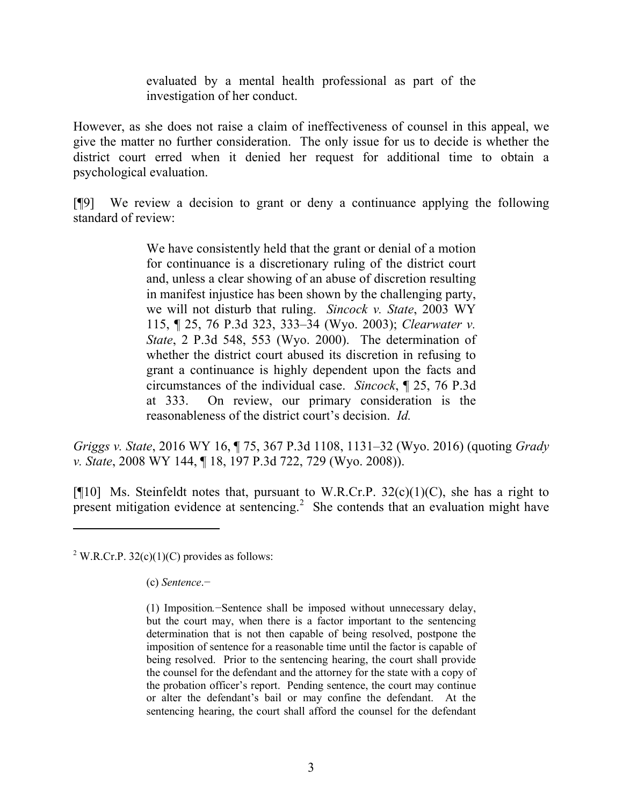evaluated by a mental health professional as part of the investigation of her conduct.

However, as she does not raise a claim of ineffectiveness of counsel in this appeal, we give the matter no further consideration. The only issue for us to decide is whether the district court erred when it denied her request for additional time to obtain a psychological evaluation.

[¶9] We review a decision to grant or deny a continuance applying the following standard of review:

> We have consistently held that the grant or denial of a motion for continuance is a discretionary ruling of the district court and, unless a clear showing of an abuse of discretion resulting in manifest injustice has been shown by the challenging party, we will not disturb that ruling. *Sincock v. State*, 2003 WY 115, ¶ 25, 76 P.3d 323, 333–34 (Wyo. 2003); *Clearwater v. State*, 2 P.3d 548, 553 (Wyo. 2000). The determination of whether the district court abused its discretion in refusing to grant a continuance is highly dependent upon the facts and circumstances of the individual case. *Sincock*, ¶ 25, 76 P.3d at 333. On review, our primary consideration is the reasonableness of the district court's decision. *Id.*

*Griggs v. State*, 2016 WY 16, ¶ 75, 367 P.3d 1108, 1131–32 (Wyo. 2016) (quoting *Grady v. State*, 2008 WY 144, ¶ 18, 197 P.3d 722, 729 (Wyo. 2008)).

[ $[$ [10] Ms. Steinfeldt notes that, pursuant to W.R.Cr.P. 32(c)(1)(C), she has a right to present mitigation evidence at sentencing.<sup>2</sup> She contends that an evaluation might have

<sup>2</sup> W.R.Cr.P. 32(c)(1)(C) provides as follows:

(c) *Sentence*.−

<sup>(1)</sup> Imposition*.*−Sentence shall be imposed without unnecessary delay, but the court may, when there is a factor important to the sentencing determination that is not then capable of being resolved, postpone the imposition of sentence for a reasonable time until the factor is capable of being resolved. Prior to the sentencing hearing, the court shall provide the counsel for the defendant and the attorney for the state with a copy of the probation officer's report. Pending sentence, the court may continue or alter the defendant's bail or may confine the defendant. At the sentencing hearing, the court shall afford the counsel for the defendant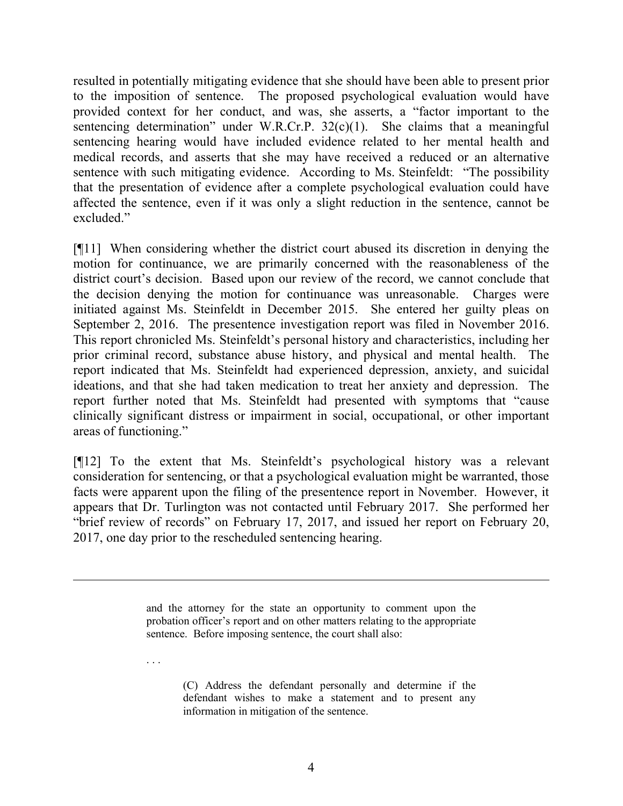resulted in potentially mitigating evidence that she should have been able to present prior to the imposition of sentence. The proposed psychological evaluation would have provided context for her conduct, and was, she asserts, a "factor important to the sentencing determination" under W.R.Cr.P.  $32(c)(1)$ . She claims that a meaningful sentencing hearing would have included evidence related to her mental health and medical records, and asserts that she may have received a reduced or an alternative sentence with such mitigating evidence. According to Ms. Steinfeldt: "The possibility that the presentation of evidence after a complete psychological evaluation could have affected the sentence, even if it was only a slight reduction in the sentence, cannot be excluded."

[¶11] When considering whether the district court abused its discretion in denying the motion for continuance, we are primarily concerned with the reasonableness of the district court's decision. Based upon our review of the record, we cannot conclude that the decision denying the motion for continuance was unreasonable. Charges were initiated against Ms. Steinfeldt in December 2015. She entered her guilty pleas on September 2, 2016. The presentence investigation report was filed in November 2016. This report chronicled Ms. Steinfeldt's personal history and characteristics, including her prior criminal record, substance abuse history, and physical and mental health. The report indicated that Ms. Steinfeldt had experienced depression, anxiety, and suicidal ideations, and that she had taken medication to treat her anxiety and depression. The report further noted that Ms. Steinfeldt had presented with symptoms that "cause clinically significant distress or impairment in social, occupational, or other important areas of functioning."

[¶12] To the extent that Ms. Steinfeldt's psychological history was a relevant consideration for sentencing, or that a psychological evaluation might be warranted, those facts were apparent upon the filing of the presentence report in November. However, it appears that Dr. Turlington was not contacted until February 2017. She performed her "brief review of records" on February 17, 2017, and issued her report on February 20, 2017, one day prior to the rescheduled sentencing hearing.

> and the attorney for the state an opportunity to comment upon the probation officer's report and on other matters relating to the appropriate sentence. Before imposing sentence, the court shall also:

. . .

(C) Address the defendant personally and determine if the defendant wishes to make a statement and to present any information in mitigation of the sentence.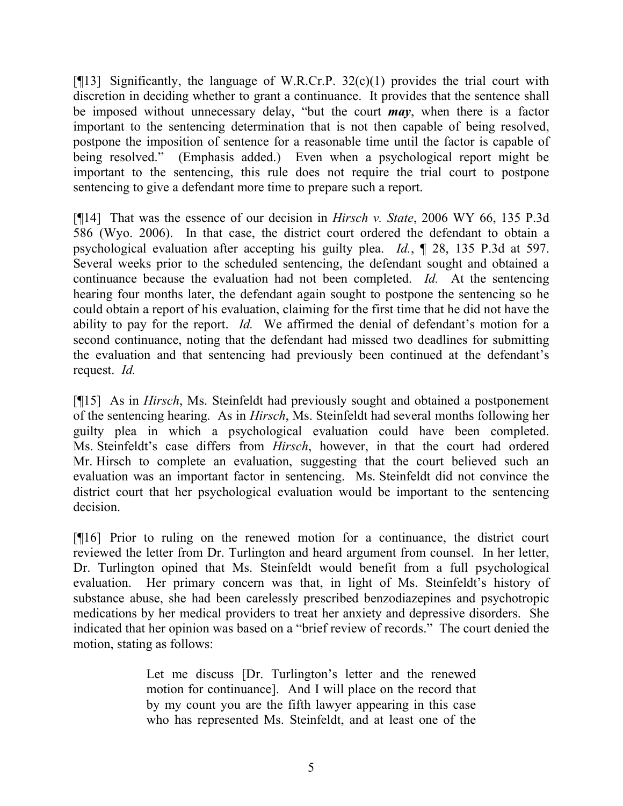[ $[13]$ ] Significantly, the language of W.R.Cr.P. 32(c)(1) provides the trial court with discretion in deciding whether to grant a continuance. It provides that the sentence shall be imposed without unnecessary delay, "but the court *may*, when there is a factor important to the sentencing determination that is not then capable of being resolved, postpone the imposition of sentence for a reasonable time until the factor is capable of being resolved." (Emphasis added.) Even when a psychological report might be important to the sentencing, this rule does not require the trial court to postpone sentencing to give a defendant more time to prepare such a report.

[¶14] That was the essence of our decision in *Hirsch v. State*, 2006 WY 66, 135 P.3d 586 (Wyo. 2006). In that case, the district court ordered the defendant to obtain a psychological evaluation after accepting his guilty plea. *Id.*, ¶ 28, 135 P.3d at 597. Several weeks prior to the scheduled sentencing, the defendant sought and obtained a continuance because the evaluation had not been completed. *Id.* At the sentencing hearing four months later, the defendant again sought to postpone the sentencing so he could obtain a report of his evaluation, claiming for the first time that he did not have the ability to pay for the report. *Id.* We affirmed the denial of defendant's motion for a second continuance, noting that the defendant had missed two deadlines for submitting the evaluation and that sentencing had previously been continued at the defendant's request. *Id.*

[¶15] As in *Hirsch*, Ms. Steinfeldt had previously sought and obtained a postponement of the sentencing hearing. As in *Hirsch*, Ms. Steinfeldt had several months following her guilty plea in which a psychological evaluation could have been completed. Ms. Steinfeldt's case differs from *Hirsch*, however, in that the court had ordered Mr. Hirsch to complete an evaluation, suggesting that the court believed such an evaluation was an important factor in sentencing. Ms. Steinfeldt did not convince the district court that her psychological evaluation would be important to the sentencing decision.

[¶16] Prior to ruling on the renewed motion for a continuance, the district court reviewed the letter from Dr. Turlington and heard argument from counsel. In her letter, Dr. Turlington opined that Ms. Steinfeldt would benefit from a full psychological evaluation. Her primary concern was that, in light of Ms. Steinfeldt's history of substance abuse, she had been carelessly prescribed benzodiazepines and psychotropic medications by her medical providers to treat her anxiety and depressive disorders. She indicated that her opinion was based on a "brief review of records." The court denied the motion, stating as follows:

> Let me discuss [Dr. Turlington's letter and the renewed motion for continuance]. And I will place on the record that by my count you are the fifth lawyer appearing in this case who has represented Ms. Steinfeldt, and at least one of the